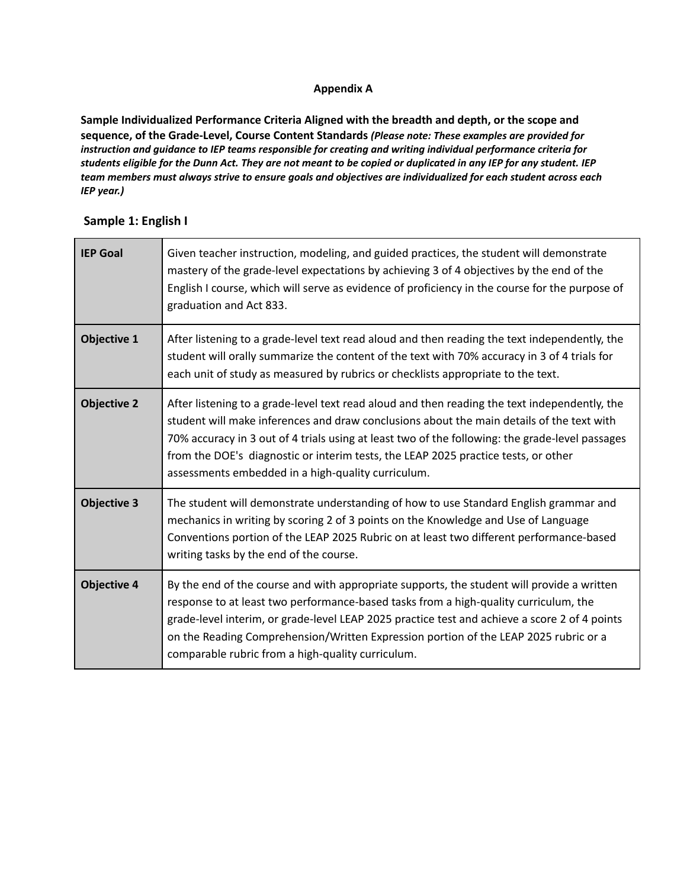#### **Appendix A**

**Sample Individualized Performance Criteria Aligned with the breadth and depth, or the scope and sequence, of the Grade-Level, Course Content Standards** *(Please note: These examples are provided for instruction and guidance to IEP teams responsible for creating and writing individual performance criteria for* students eligible for the Dunn Act. They are not meant to be copied or duplicated in any IEP for any student. IEP team members must always strive to ensure goals and objectives are individualized for each student across each *IEP year.)*

| <b>IEP Goal</b>    | Given teacher instruction, modeling, and guided practices, the student will demonstrate<br>mastery of the grade-level expectations by achieving 3 of 4 objectives by the end of the<br>English I course, which will serve as evidence of proficiency in the course for the purpose of<br>graduation and Act 833.                                                                                                                          |
|--------------------|-------------------------------------------------------------------------------------------------------------------------------------------------------------------------------------------------------------------------------------------------------------------------------------------------------------------------------------------------------------------------------------------------------------------------------------------|
| <b>Objective 1</b> | After listening to a grade-level text read aloud and then reading the text independently, the<br>student will orally summarize the content of the text with 70% accuracy in 3 of 4 trials for<br>each unit of study as measured by rubrics or checklists appropriate to the text.                                                                                                                                                         |
| <b>Objective 2</b> | After listening to a grade-level text read aloud and then reading the text independently, the<br>student will make inferences and draw conclusions about the main details of the text with<br>70% accuracy in 3 out of 4 trials using at least two of the following: the grade-level passages<br>from the DOE's diagnostic or interim tests, the LEAP 2025 practice tests, or other<br>assessments embedded in a high-quality curriculum. |
| <b>Objective 3</b> | The student will demonstrate understanding of how to use Standard English grammar and<br>mechanics in writing by scoring 2 of 3 points on the Knowledge and Use of Language<br>Conventions portion of the LEAP 2025 Rubric on at least two different performance-based<br>writing tasks by the end of the course.                                                                                                                         |
| <b>Objective 4</b> | By the end of the course and with appropriate supports, the student will provide a written<br>response to at least two performance-based tasks from a high-quality curriculum, the<br>grade-level interim, or grade-level LEAP 2025 practice test and achieve a score 2 of 4 points<br>on the Reading Comprehension/Written Expression portion of the LEAP 2025 rubric or a<br>comparable rubric from a high-quality curriculum.          |

### **Sample 1: English I**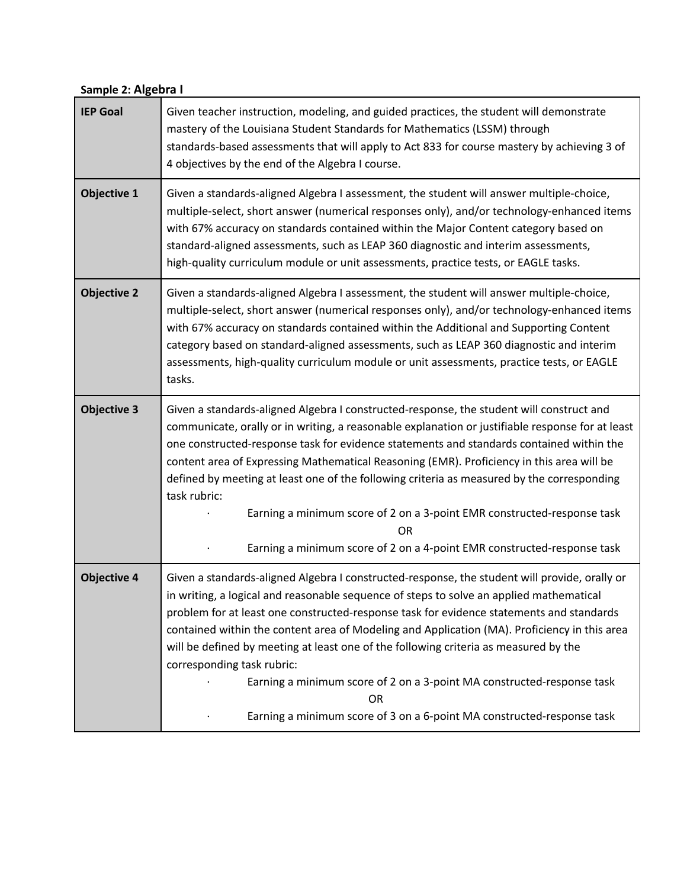# **Sample 2: Algebra I**

| <b>IEP Goal</b>    | Given teacher instruction, modeling, and guided practices, the student will demonstrate<br>mastery of the Louisiana Student Standards for Mathematics (LSSM) through<br>standards-based assessments that will apply to Act 833 for course mastery by achieving 3 of<br>4 objectives by the end of the Algebra I course.                                                                                                                                                                                                                                                                                                                                              |
|--------------------|----------------------------------------------------------------------------------------------------------------------------------------------------------------------------------------------------------------------------------------------------------------------------------------------------------------------------------------------------------------------------------------------------------------------------------------------------------------------------------------------------------------------------------------------------------------------------------------------------------------------------------------------------------------------|
| <b>Objective 1</b> | Given a standards-aligned Algebra I assessment, the student will answer multiple-choice,<br>multiple-select, short answer (numerical responses only), and/or technology-enhanced items<br>with 67% accuracy on standards contained within the Major Content category based on<br>standard-aligned assessments, such as LEAP 360 diagnostic and interim assessments,<br>high-quality curriculum module or unit assessments, practice tests, or EAGLE tasks.                                                                                                                                                                                                           |
| <b>Objective 2</b> | Given a standards-aligned Algebra I assessment, the student will answer multiple-choice,<br>multiple-select, short answer (numerical responses only), and/or technology-enhanced items<br>with 67% accuracy on standards contained within the Additional and Supporting Content<br>category based on standard-aligned assessments, such as LEAP 360 diagnostic and interim<br>assessments, high-quality curriculum module or unit assessments, practice tests, or EAGLE<br>tasks.                                                                                                                                                                                    |
| <b>Objective 3</b> | Given a standards-aligned Algebra I constructed-response, the student will construct and<br>communicate, orally or in writing, a reasonable explanation or justifiable response for at least<br>one constructed-response task for evidence statements and standards contained within the<br>content area of Expressing Mathematical Reasoning (EMR). Proficiency in this area will be<br>defined by meeting at least one of the following criteria as measured by the corresponding<br>task rubric:<br>Earning a minimum score of 2 on a 3-point EMR constructed-response task<br>OR<br>Earning a minimum score of 2 on a 4-point EMR constructed-response task      |
| <b>Objective 4</b> | Given a standards-aligned Algebra I constructed-response, the student will provide, orally or<br>in writing, a logical and reasonable sequence of steps to solve an applied mathematical<br>problem for at least one constructed-response task for evidence statements and standards<br>contained within the content area of Modeling and Application (MA). Proficiency in this area<br>will be defined by meeting at least one of the following criteria as measured by the<br>corresponding task rubric:<br>Earning a minimum score of 2 on a 3-point MA constructed-response task<br>OR<br>Earning a minimum score of 3 on a 6-point MA constructed-response task |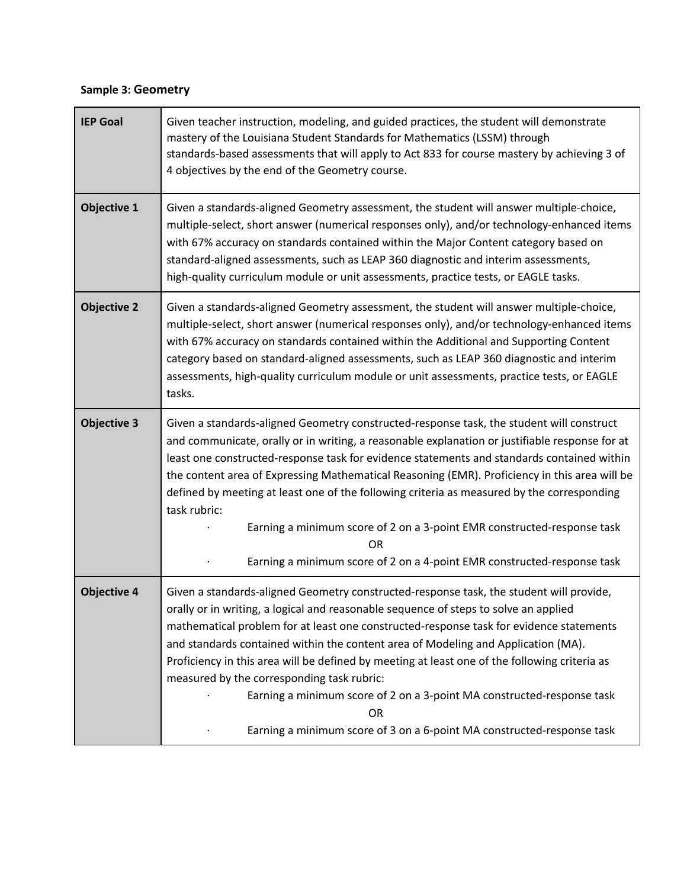## **Sample 3: Geometry**

| <b>IEP Goal</b>    | Given teacher instruction, modeling, and guided practices, the student will demonstrate<br>mastery of the Louisiana Student Standards for Mathematics (LSSM) through<br>standards-based assessments that will apply to Act 833 for course mastery by achieving 3 of<br>4 objectives by the end of the Geometry course.                                                                                                                                                                                                                                                                                                                                                          |
|--------------------|---------------------------------------------------------------------------------------------------------------------------------------------------------------------------------------------------------------------------------------------------------------------------------------------------------------------------------------------------------------------------------------------------------------------------------------------------------------------------------------------------------------------------------------------------------------------------------------------------------------------------------------------------------------------------------|
| <b>Objective 1</b> | Given a standards-aligned Geometry assessment, the student will answer multiple-choice,<br>multiple-select, short answer (numerical responses only), and/or technology-enhanced items<br>with 67% accuracy on standards contained within the Major Content category based on<br>standard-aligned assessments, such as LEAP 360 diagnostic and interim assessments,<br>high-quality curriculum module or unit assessments, practice tests, or EAGLE tasks.                                                                                                                                                                                                                       |
| <b>Objective 2</b> | Given a standards-aligned Geometry assessment, the student will answer multiple-choice,<br>multiple-select, short answer (numerical responses only), and/or technology-enhanced items<br>with 67% accuracy on standards contained within the Additional and Supporting Content<br>category based on standard-aligned assessments, such as LEAP 360 diagnostic and interim<br>assessments, high-quality curriculum module or unit assessments, practice tests, or EAGLE<br>tasks.                                                                                                                                                                                                |
| <b>Objective 3</b> | Given a standards-aligned Geometry constructed-response task, the student will construct<br>and communicate, orally or in writing, a reasonable explanation or justifiable response for at<br>least one constructed-response task for evidence statements and standards contained within<br>the content area of Expressing Mathematical Reasoning (EMR). Proficiency in this area will be<br>defined by meeting at least one of the following criteria as measured by the corresponding<br>task rubric:<br>Earning a minimum score of 2 on a 3-point EMR constructed-response task<br><b>OR</b><br>Earning a minimum score of 2 on a 4-point EMR constructed-response task      |
| <b>Objective 4</b> | Given a standards-aligned Geometry constructed-response task, the student will provide,<br>orally or in writing, a logical and reasonable sequence of steps to solve an applied<br>mathematical problem for at least one constructed-response task for evidence statements<br>and standards contained within the content area of Modeling and Application (MA).<br>Proficiency in this area will be defined by meeting at least one of the following criteria as<br>measured by the corresponding task rubric:<br>Earning a minimum score of 2 on a 3-point MA constructed-response task<br><b>OR</b><br>Earning a minimum score of 3 on a 6-point MA constructed-response task |